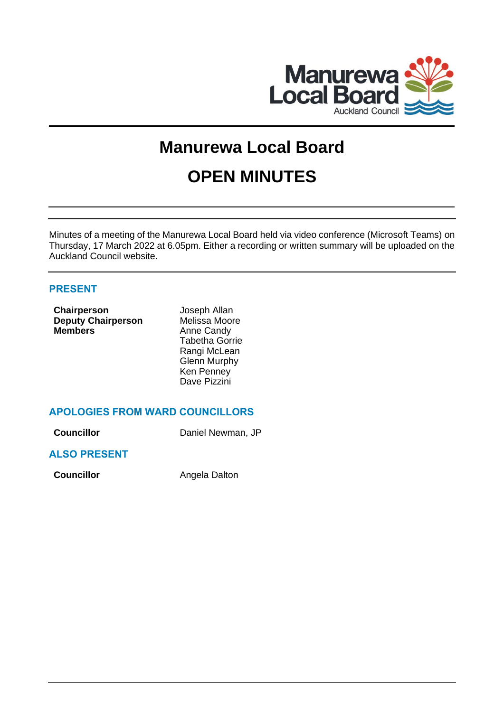

# **Manurewa Local Board OPEN MINUTES**

Minutes of a meeting of the Manurewa Local Board held via video conference (Microsoft Teams) on Thursday, 17 March 2022 at 6.05pm. Either a recording or written summary will be uploaded on the Auckland Council website.

# **PRESENT**

| Chairperson               | Joseph Allan          |
|---------------------------|-----------------------|
| <b>Deputy Chairperson</b> | Melissa Moore         |
| <b>Members</b>            | Anne Candy            |
|                           | <b>Tabetha Gorrie</b> |
|                           | Rangi McLean          |
|                           | <b>Glenn Murphy</b>   |
|                           | Ken Penney            |
|                           | Dave Pizzini          |

# **APOLOGIES FROM WARD COUNCILLORS**

| <b>Councillor</b> | Daniel Newman, JP |
|-------------------|-------------------|
|                   |                   |

## **ALSO PRESENT**

**Councillor Angela Dalton**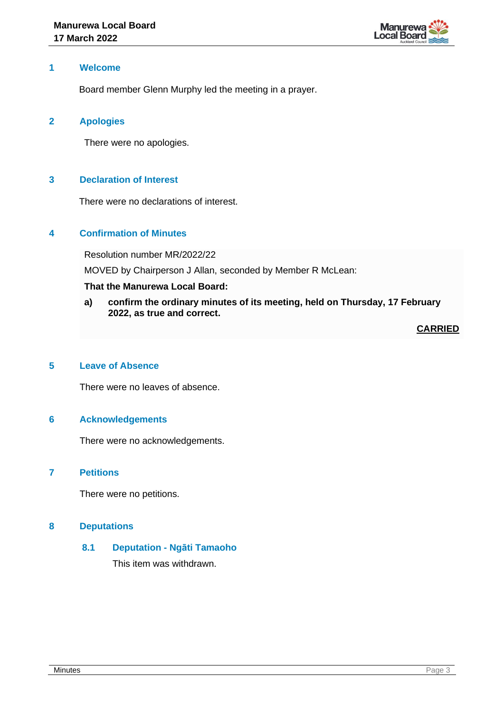

## **1 Welcome**

Board member Glenn Murphy led the meeting in a prayer.

## **2 Apologies**

There were no apologies.

## **3 Declaration of Interest**

There were no declarations of interest.

## **4 Confirmation of Minutes**

Resolution number MR/2022/22

MOVED by Chairperson J Allan, seconded by Member R McLean:

## **That the Manurewa Local Board:**

**a) confirm the ordinary minutes of its meeting, held on Thursday, 17 February 2022, as true and correct.**

**CARRIED**

## **5 Leave of Absence**

There were no leaves of absence.

#### **6 Acknowledgements**

There were no acknowledgements.

#### **7 Petitions**

There were no petitions.

## **8 Deputations**

#### **8.1 Deputation - Ngāti Tamaoho**

This item was withdrawn.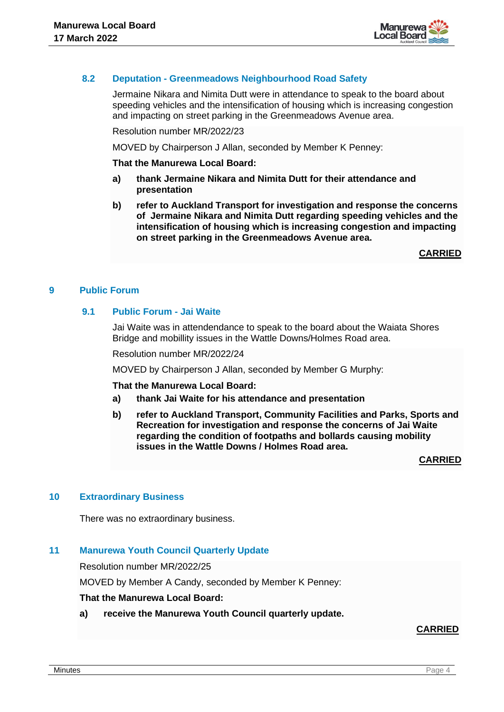

## **8.2 Deputation - Greenmeadows Neighbourhood Road Safety**

Jermaine Nikara and Nimita Dutt were in attendance to speak to the board about speeding vehicles and the intensification of housing which is increasing congestion and impacting on street parking in the Greenmeadows Avenue area.

Resolution number MR/2022/23

MOVED by Chairperson J Allan, seconded by Member K Penney:

#### **That the Manurewa Local Board:**

- **a) thank Jermaine Nikara and Nimita Dutt for their attendance and presentation**
- **b) refer to Auckland Transport for investigation and response the concerns of Jermaine Nikara and Nimita Dutt regarding speeding vehicles and the intensification of housing which is increasing congestion and impacting on street parking in the Greenmeadows Avenue area.**

**CARRIED**

## **9 Public Forum**

## **9.1 Public Forum - Jai Waite**

Jai Waite was in attendendance to speak to the board about the Waiata Shores Bridge and mobillity issues in the Wattle Downs/Holmes Road area.

Resolution number MR/2022/24

MOVED by Chairperson J Allan, seconded by Member G Murphy:

#### **That the Manurewa Local Board:**

- **a) thank Jai Waite for his attendance and presentation**
- **b) refer to Auckland Transport, Community Facilities and Parks, Sports and Recreation for investigation and response the concerns of Jai Waite regarding the condition of footpaths and bollards causing mobility issues in the Wattle Downs / Holmes Road area.**

**CARRIED**

#### **10 Extraordinary Business**

There was no extraordinary business.

## **11 Manurewa Youth Council Quarterly Update**

Resolution number MR/2022/25

MOVED by Member A Candy, seconded by Member K Penney:

#### **That the Manurewa Local Board:**

**a) receive the Manurewa Youth Council quarterly update.**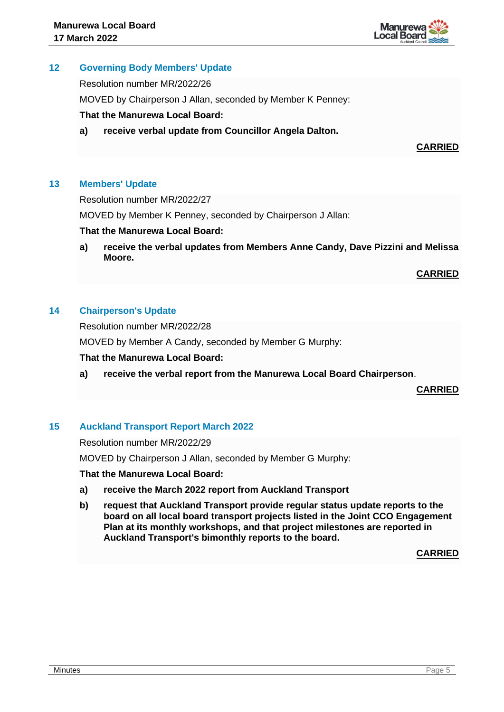

## **12 Governing Body Members' Update**

Resolution number MR/2022/26

MOVED by Chairperson J Allan, seconded by Member K Penney:

## **That the Manurewa Local Board:**

**a) receive verbal update from Councillor Angela Dalton.**

**CARRIED**

## **13 Members' Update**

Resolution number MR/2022/27

MOVED by Member K Penney, seconded by Chairperson J Allan:

## **That the Manurewa Local Board:**

**a) receive the verbal updates from Members Anne Candy, Dave Pizzini and Melissa Moore.** 

**CARRIED**

## **14 Chairperson's Update**

Resolution number MR/2022/28

MOVED by Member A Candy, seconded by Member G Murphy:

#### **That the Manurewa Local Board:**

**a) receive the verbal report from the Manurewa Local Board Chairperson**.

**CARRIED**

## **15 Auckland Transport Report March 2022**

Resolution number MR/2022/29

MOVED by Chairperson J Allan, seconded by Member G Murphy:

**That the Manurewa Local Board:**

- **a) receive the March 2022 report from Auckland Transport**
- **b) request that Auckland Transport provide regular status update reports to the board on all local board transport projects listed in the Joint CCO Engagement Plan at its monthly workshops, and that project milestones are reported in Auckland Transport's bimonthly reports to the board.**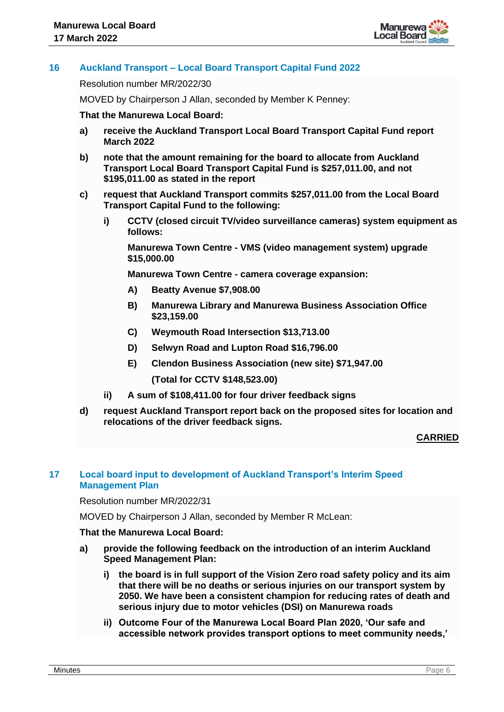

# **16 Auckland Transport – Local Board Transport Capital Fund 2022**

Resolution number MR/2022/30

MOVED by Chairperson J Allan, seconded by Member K Penney:

#### **That the Manurewa Local Board:**

- **a) receive the Auckland Transport Local Board Transport Capital Fund report March 2022**
- **b) note that the amount remaining for the board to allocate from Auckland Transport Local Board Transport Capital Fund is \$257,011.00, and not \$195,011.00 as stated in the report**
- **c) request that Auckland Transport commits \$257,011.00 from the Local Board Transport Capital Fund to the following:**
	- **i) CCTV (closed circuit TV/video surveillance cameras) system equipment as follows:**

**Manurewa Town Centre - VMS (video management system) upgrade \$15,000.00**

**Manurewa Town Centre - camera coverage expansion:**

- **A) Beatty Avenue \$7,908.00**
- **B) Manurewa Library and Manurewa Business Association Office \$23,159.00**
- **C) Weymouth Road Intersection \$13,713.00**
- **D) Selwyn Road and Lupton Road \$16,796.00**
- **E) Clendon Business Association (new site) \$71,947.00**

**(Total for CCTV \$148,523.00)**

- **ii) A sum of \$108,411.00 for four driver feedback signs**
- **d) request Auckland Transport report back on the proposed sites for location and relocations of the driver feedback signs.**

#### **CARRIED**

## **17 Local board input to development of Auckland Transport's Interim Speed Management Plan**

Resolution number MR/2022/31

MOVED by Chairperson J Allan, seconded by Member R McLean:

## **That the Manurewa Local Board:**

- **a) provide the following feedback on the introduction of an interim Auckland Speed Management Plan:**
	- **i) the board is in full support of the Vision Zero road safety policy and its aim that there will be no deaths or serious injuries on our transport system by 2050. We have been a consistent champion for reducing rates of death and serious injury due to motor vehicles (DSI) on Manurewa roads**
	- **ii) Outcome Four of the Manurewa Local Board Plan 2020, 'Our safe and accessible network provides transport options to meet community needs,'**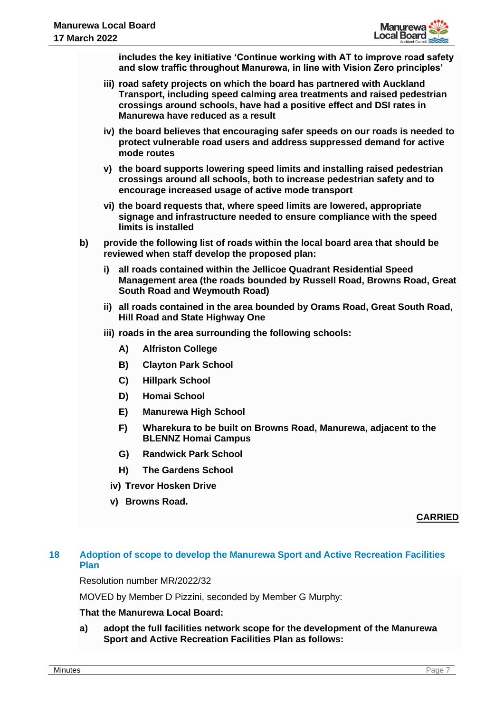

**includes the key initiative 'Continue working with AT to improve road safety and slow traffic throughout Manurewa, in line with Vision Zero principles'** 

- **iii) road safety projects on which the board has partnered with Auckland Transport, including speed calming area treatments and raised pedestrian crossings around schools, have had a positive effect and DSI rates in Manurewa have reduced as a result**
- **iv) the board believes that encouraging safer speeds on our roads is needed to protect vulnerable road users and address suppressed demand for active mode routes**
- **v) the board supports lowering speed limits and installing raised pedestrian crossings around all schools, both to increase pedestrian safety and to encourage increased usage of active mode transport**
- **vi) the board requests that, where speed limits are lowered, appropriate signage and infrastructure needed to ensure compliance with the speed limits is installed**
- **b) provide the following list of roads within the local board area that should be reviewed when staff develop the proposed plan:**
	- **i) all roads contained within the Jellicoe Quadrant Residential Speed Management area (the roads bounded by Russell Road, Browns Road, Great South Road and Weymouth Road)**
	- **ii) all roads contained in the area bounded by Orams Road, Great South Road, Hill Road and State Highway One**
	- **iii) roads in the area surrounding the following schools:** 
		- **A) Alfriston College**
		- **B) Clayton Park School**
		- **C) Hillpark School**
		- **D) Homai School**
		- **E) Manurewa High School**
		- **F) Wharekura to be built on Browns Road, Manurewa, adjacent to the BLENNZ Homai Campus**
		- **G) Randwick Park School**
		- **H) The Gardens School**
		- **iv) Trevor Hosken Drive**
		- **v) Browns Road.**

## **CARRIED**

# **18 Adoption of scope to develop the Manurewa Sport and Active Recreation Facilities Plan**

Resolution number MR/2022/32

MOVED by Member D Pizzini, seconded by Member G Murphy:

#### **That the Manurewa Local Board:**

**a) adopt the full facilities network scope for the development of the Manurewa Sport and Active Recreation Facilities Plan as follows:**

**Minutes and the contract of the contract of the contract of the contract of the contract of the contract of the contract of the contract of the contract of the contract of the contract of the contract of the contract of t**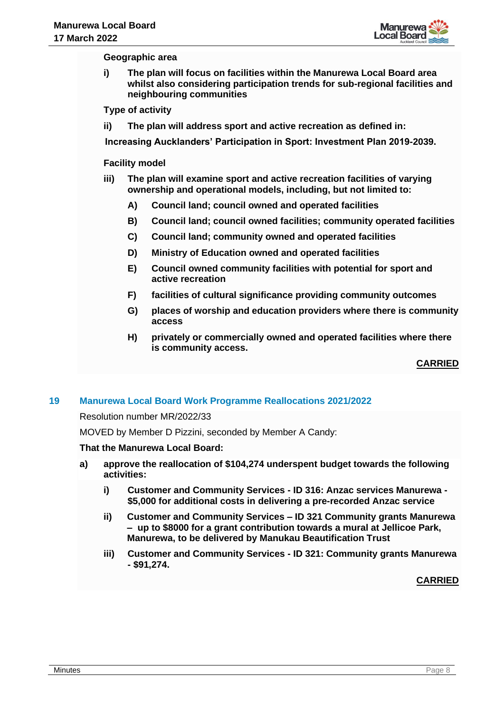

**Geographic area**

**i) The plan will focus on facilities within the Manurewa Local Board area whilst also considering participation trends for sub-regional facilities and neighbouring communities**

**Type of activity**

**ii) The plan will address sport and active recreation as defined in:**

**[Increasing Aucklanders' Participation in Sport: Investment Plan 2019-2039.](https://www.aucklandcouncil.govt.nz/plans-projects-policies-reports-bylaws/our-plans-strategies/topic-based-plans-strategies/parks-sports-outdoor-plans/Pages/increasing-aucklanders-participation-in-sport-Investment-Plan-2019-2039.aspx)**

#### **Facility model**

- **iii) The plan will examine sport and active recreation facilities of varying ownership and operational models, including, but not limited to:**
	- **A) Council land; council owned and operated facilities**
	- **B) Council land; council owned facilities; community operated facilities**
	- **C) Council land; community owned and operated facilities**
	- **D) Ministry of Education owned and operated facilities**
	- **E) Council owned community facilities with potential for sport and active recreation**
	- **F) facilities of cultural significance providing community outcomes**
	- **G) places of worship and education providers where there is community access**
	- **H) privately or commercially owned and operated facilities where there is community access.**

**CARRIED**

#### **19 Manurewa Local Board Work Programme Reallocations 2021/2022**

Resolution number MR/2022/33

MOVED by Member D Pizzini, seconded by Member A Candy:

#### **That the Manurewa Local Board:**

- **a) approve the reallocation of \$104,274 underspent budget towards the following activities:**
	- **i) Customer and Community Services - ID 316: Anzac services Manurewa - \$5,000 for additional costs in delivering a pre-recorded Anzac service**
	- **ii) Customer and Community Services – ID 321 Community grants Manurewa – up to \$8000 for a grant contribution towards a mural at Jellicoe Park, Manurewa, to be delivered by Manukau Beautification Trust**
	- **iii) Customer and Community Services - ID 321: Community grants Manurewa - \$91,274.**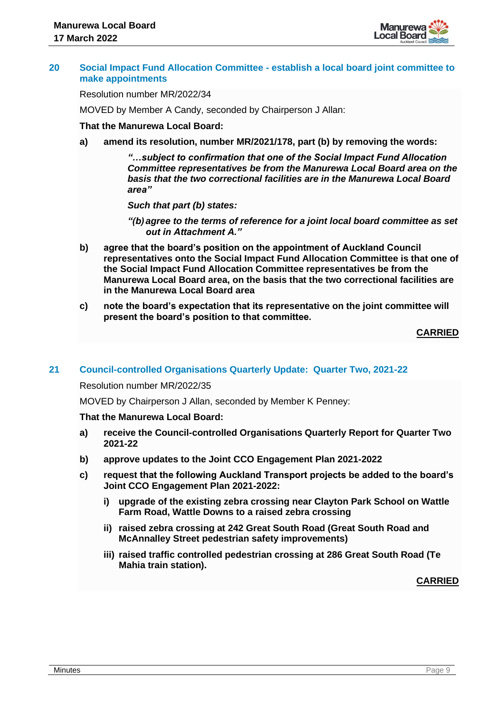

#### **20 Social Impact Fund Allocation Committee - establish a local board joint committee to make appointments**

Resolution number MR/2022/34

MOVED by Member A Candy, seconded by Chairperson J Allan:

#### **That the Manurewa Local Board:**

**a) amend its resolution, number MR/2021/178, part (b) by removing the words:** 

*"…subject to confirmation that one of the Social Impact Fund Allocation Committee representatives be from the Manurewa Local Board area on the basis that the two correctional facilities are in the Manurewa Local Board area"*

*Such that part (b) states:*

- *"(b) agree to the terms of reference for a joint local board committee as set out in Attachment A."*
- **b) agree that the board's position on the appointment of Auckland Council representatives onto the Social Impact Fund Allocation Committee is that one of the Social Impact Fund Allocation Committee representatives be from the Manurewa Local Board area, on the basis that the two correctional facilities are in the Manurewa Local Board area**
- **c) note the board's expectation that its representative on the joint committee will present the board's position to that committee.**

**CARRIED**

#### **21 Council-controlled Organisations Quarterly Update: Quarter Two, 2021-22**

Resolution number MR/2022/35

MOVED by Chairperson J Allan, seconded by Member K Penney:

#### **That the Manurewa Local Board:**

- **a) receive the Council-controlled Organisations Quarterly Report for Quarter Two 2021-22**
- **b) approve updates to the Joint CCO Engagement Plan 2021-2022**
- **c) request that the following Auckland Transport projects be added to the board's Joint CCO Engagement Plan 2021-2022:**
	- **i) upgrade of the existing zebra crossing near Clayton Park School on Wattle Farm Road, Wattle Downs to a raised zebra crossing**
	- **ii) raised zebra crossing at 242 Great South Road (Great South Road and McAnnalley Street pedestrian safety improvements)**
	- **iii) raised traffic controlled pedestrian crossing at 286 Great South Road (Te Mahia train station).**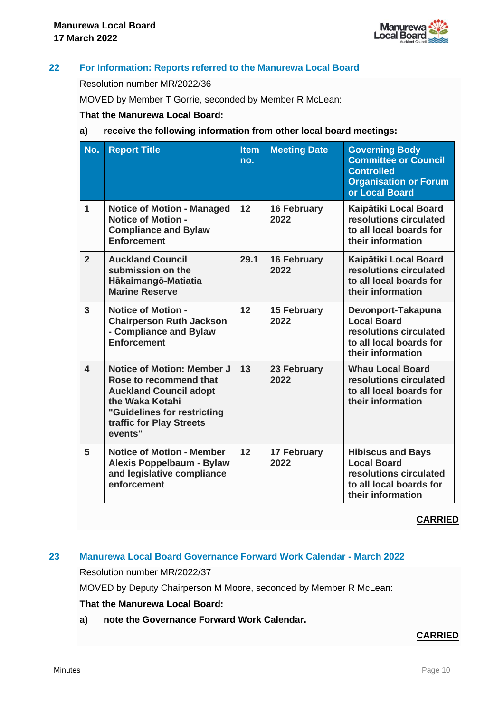

# **22 For Information: Reports referred to the Manurewa Local Board**

Resolution number MR/2022/36

MOVED by Member T Gorrie, seconded by Member R McLean:

## **That the Manurewa Local Board:**

## **a) receive the following information from other local board meetings:**

| No.                     | <b>Report Title</b>                                                                                                                                                                   | <b>Item</b><br>no. | <b>Meeting Date</b>        | <b>Governing Body</b><br><b>Committee or Council</b><br><b>Controlled</b><br><b>Organisation or Forum</b><br>or Local Board |
|-------------------------|---------------------------------------------------------------------------------------------------------------------------------------------------------------------------------------|--------------------|----------------------------|-----------------------------------------------------------------------------------------------------------------------------|
| 1                       | <b>Notice of Motion - Managed</b><br><b>Notice of Motion -</b><br><b>Compliance and Bylaw</b><br><b>Enforcement</b>                                                                   | 12                 | <b>16 February</b><br>2022 | Kaipātiki Local Board<br>resolutions circulated<br>to all local boards for<br>their information                             |
| $\overline{2}$          | <b>Auckland Council</b><br>submission on the<br>Hākaimangō-Matiatia<br><b>Marine Reserve</b>                                                                                          | 29.1               | <b>16 February</b><br>2022 | Kaipātiki Local Board<br>resolutions circulated<br>to all local boards for<br>their information                             |
| $\overline{3}$          | <b>Notice of Motion -</b><br><b>Chairperson Ruth Jackson</b><br>- Compliance and Bylaw<br><b>Enforcement</b>                                                                          | 12                 | <b>15 February</b><br>2022 | Devonport-Takapuna<br><b>Local Board</b><br>resolutions circulated<br>to all local boards for<br>their information          |
| $\overline{\mathbf{A}}$ | <b>Notice of Motion: Member J</b><br>Rose to recommend that<br><b>Auckland Council adopt</b><br>the Waka Kotahi<br>"Guidelines for restricting<br>traffic for Play Streets<br>events" | 13                 | 23 February<br>2022        | <b>Whau Local Board</b><br>resolutions circulated<br>to all local boards for<br>their information                           |
| 5                       | <b>Notice of Motion - Member</b><br><b>Alexis Poppelbaum - Bylaw</b><br>and legislative compliance<br>enforcement                                                                     | 12                 | <b>17 February</b><br>2022 | <b>Hibiscus and Bays</b><br><b>Local Board</b><br>resolutions circulated<br>to all local boards for<br>their information    |

#### **CARRIED**

# **23 Manurewa Local Board Governance Forward Work Calendar - March 2022**

Resolution number MR/2022/37

MOVED by Deputy Chairperson M Moore, seconded by Member R McLean:

## **That the Manurewa Local Board:**

**a) note the Governance Forward Work Calendar.**